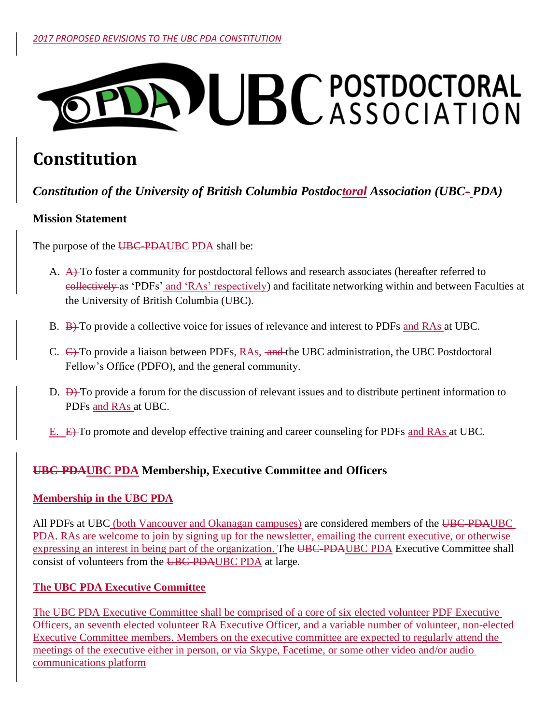# DAPUBCPOSTDOCTORAL

# **Constitution**

# *Constitution of the University of British Columbia Postdoctoral Association (UBC- PDA)*

# **Mission Statement**

The purpose of the UBC-PDAUBC PDA shall be:

- A. A. To foster a community for postdoctoral fellows and research associates (hereafter referred to collectively as 'PDFs' and 'RAs' respectively) and facilitate networking within and between Faculties at the University of British Columbia (UBC).
- B. B) To provide a collective voice for issues of relevance and interest to PDFs and RAs at UBC.
- C.  $\leftrightarrow$  To provide a liaison between PDFs, RAs, and the UBC administration, the UBC Postdoctoral Fellow's Office (PDFO), and the general community.
- D.  $\overrightarrow{D}$  To provide a forum for the discussion of relevant issues and to distribute pertinent information to PDFs and RAs at UBC.
- E. E) To promote and develop effective training and career counseling for PDFs and RAs at UBC.

# **UBC-PDAUBC PDA Membership, Executive Committee and Officers**

# **Membership in the UBC PDA**

All PDFs at UBC (both Vancouver and Okanagan campuses) are considered members of the UBC-PDAUBC PDA. RAs are welcome to join by signing up for the newsletter, emailing the current executive, or otherwise expressing an interest in being part of the organization. The UBC-PDAUBC PDA Executive Committee shall consist of volunteers from the UBC-PDAUBC PDA at large.

# **The UBC PDA Executive Committee**

The UBC PDA Executive Committee shall be comprised of a core of six elected volunteer PDF Executive Officers, an seventh elected volunteer RA Executive Officer, and a variable number of volunteer, non-elected Executive Committee members. Members on the executive committee are expected to regularly attend the meetings of the executive either in person, or via Skype, Facetime, or some other video and/or audio communications platform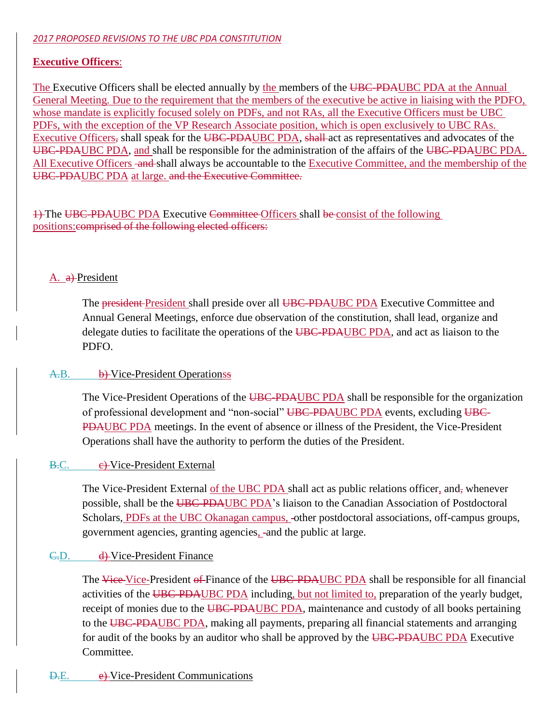#### *2017 PROPOSED REVISIONS TO THE UBC PDA CONSTITUTION*

# **Executive Officers**:

The Executive Officers shall be elected annually by the members of the UBC-PDAUBC PDA at the Annual General Meeting. Due to the requirement that the members of the executive be active in liaising with the PDFO, whose mandate is explicitly focused solely on PDFs, and not RAs, all the Executive Officers must be UBC PDFs, with the exception of the VP Research Associate position, which is open exclusively to UBC RAs. Executive Officers, shall speak for the UBC-PDAUBC PDA, shall act as representatives and advocates of the UBC-PDAUBC PDA, and shall be responsible for the administration of the affairs of the UBC-PDAUBC PDA. All Executive Officers and shall always be accountable to the Executive Committee, and the membership of the UBC-PDAUBC PDA at large. and the Executive Committee.

1) The UBC-PDAUBC PDA Executive Committee Officers shall be consist of the following positions:comprised of the following elected officers:

#### A. a) President

The **president**-President shall preside over all UBC-PDAUBC PDA Executive Committee and Annual General Meetings, enforce due observation of the constitution, shall lead, organize and delegate duties to facilitate the operations of the UBC-PDAUBC PDA, and act as liaison to the PDFO.

#### A.B. b) Vice-President Operationss

The Vice-President Operations of the UBC-PDAUBC PDA shall be responsible for the organization of professional development and "non-social" UBC-PDAUBC PDA events, excluding UBC-PDAUBC PDA meetings. In the event of absence or illness of the President, the Vice-President Operations shall have the authority to perform the duties of the President.

#### B.C. e-Vice-President External

The Vice-President External of the UBC PDA shall act as public relations officer, and, whenever possible, shall be the UBC-PDAUBC PDA's liaison to the Canadian Association of Postdoctoral Scholars, PDFs at the UBC Okanagan campus, -other postdoctoral associations, off-campus groups, government agencies, granting agencies, -and the public at large.

#### C.D. d) Vice-President Finance

The Vice-President of Finance of the UBC-PDAUBC PDA shall be responsible for all financial activities of the UBC-PDAUBC PDA including, but not limited to, preparation of the yearly budget, receipt of monies due to the UBC-PDAUBC PDA, maintenance and custody of all books pertaining to the UBC-PDAUBC PDA, making all payments, preparing all financial statements and arranging for audit of the books by an auditor who shall be approved by the UBC-PDAUBC PDA Executive Committee.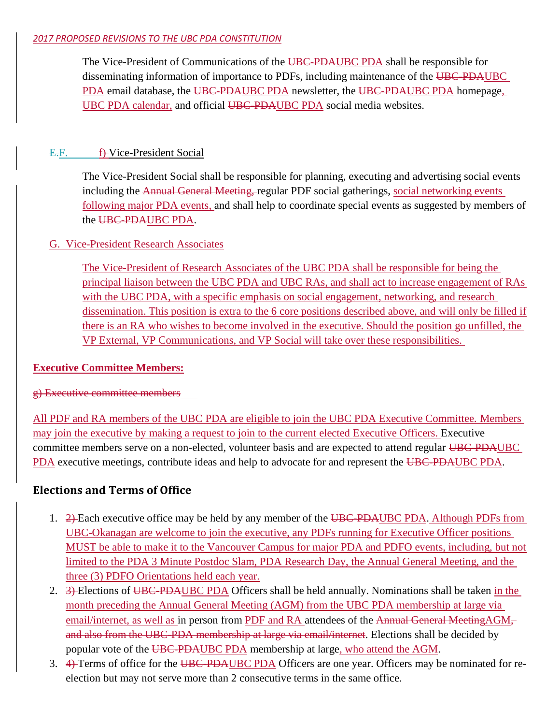#### *2017 PROPOSED REVISIONS TO THE UBC PDA CONSTITUTION*

The Vice-President of Communications of the UBC-PDAUBC PDA shall be responsible for disseminating information of importance to PDFs, including maintenance of the UBC-PDAUBC PDA email database, the UBC-PDAUBC PDA newsletter, the UBC-PDAUBC PDA homepage, UBC PDA calendar, and official UBC-PDAUBC PDA social media websites.

# $E.F.$  **f**) Vice-President Social

The Vice-President Social shall be responsible for planning, executing and advertising social events including the Annual General Meeting, regular PDF social gatherings, social networking events following major PDA events, and shall help to coordinate special events as suggested by members of the UBC-PDAUBC PDA.

# G. Vice-President Research Associates

The Vice-President of Research Associates of the UBC PDA shall be responsible for being the principal liaison between the UBC PDA and UBC RAs, and shall act to increase engagement of RAs with the UBC PDA, with a specific emphasis on social engagement, networking, and research dissemination. This position is extra to the 6 core positions described above, and will only be filled if there is an RA who wishes to become involved in the executive. Should the position go unfilled, the VP External, VP Communications, and VP Social will take over these responsibilities.

# **Executive Committee Members:**

g) Executive committee members

All PDF and RA members of the UBC PDA are eligible to join the UBC PDA Executive Committee. Members may join the executive by making a request to join to the current elected Executive Officers. Executive committee members serve on a non-elected, volunteer basis and are expected to attend regular UBC-PDAUBC PDA executive meetings, contribute ideas and help to advocate for and represent the UBC-PDAUBC PDA.

# **Elections and Terms of Office**

- 1. 2) Each executive office may be held by any member of the UBC-PDAUBC PDA. Although PDFs from UBC-Okanagan are welcome to join the executive, any PDFs running for Executive Officer positions MUST be able to make it to the Vancouver Campus for major PDA and PDFO events, including, but not limited to the PDA 3 Minute Postdoc Slam, PDA Research Day, the Annual General Meeting, and the three (3) PDFO Orientations held each year.
- 2. 3) Elections of UBC-PDAUBC PDA Officers shall be held annually. Nominations shall be taken in the month preceding the Annual General Meeting (AGM) from the UBC PDA membership at large via email/internet, as well as in person from PDF and RA attendees of the Annual General MeetingAGMand also from the UBC-PDA membership at large via email/internet. Elections shall be decided by popular vote of the UBC-PDAUBC PDA membership at large, who attend the AGM.
- 3. 4) Terms of office for the UBC-PDAUBC PDA Officers are one year. Officers may be nominated for reelection but may not serve more than 2 consecutive terms in the same office.